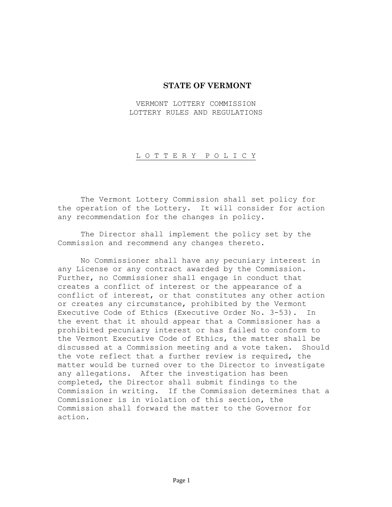# **STATE OF VERMONT**

# VERMONT LOTTERY COMMISSION LOTTERY RULES AND REGULATIONS

#### L O T T E R Y P O L I C Y

The Vermont Lottery Commission shall set policy for the operation of the Lottery. It will consider for action any recommendation for the changes in policy.

The Director shall implement the policy set by the Commission and recommend any changes thereto.

No Commissioner shall have any pecuniary interest in any License or any contract awarded by the Commission. Further, no Commissioner shall engage in conduct that creates a conflict of interest or the appearance of a conflict of interest, or that constitutes any other action or creates any circumstance, prohibited by the Vermont Executive Code of Ethics (Executive Order No. 3-53). In the event that it should appear that a Commissioner has a prohibited pecuniary interest or has failed to conform to the Vermont Executive Code of Ethics, the matter shall be discussed at a Commission meeting and a vote taken. Should the vote reflect that a further review is required, the matter would be turned over to the Director to investigate any allegations. After the investigation has been completed, the Director shall submit findings to the Commission in writing. If the Commission determines that a Commissioner is in violation of this section, the Commission shall forward the matter to the Governor for action.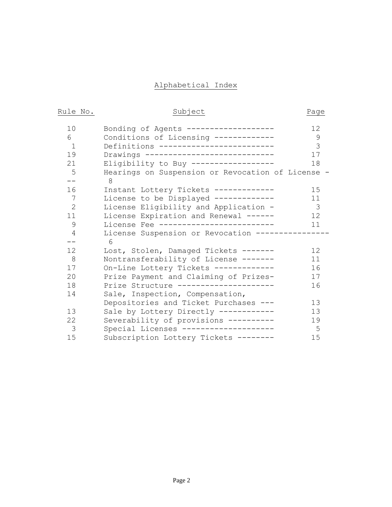# Alphabetical Index

| Rule | Nο |
|------|----|
|      |    |

# Subject Page

| 10              | Bonding of Agents ------------------            | 12                      |
|-----------------|-------------------------------------------------|-------------------------|
| 6               | Conditions of Licensing -------------           | 9                       |
| $\mathbf{1}$    | Definitions -------------------------           | 3                       |
| 19              | Drawings ----------------------------           | 17                      |
| 21              | Eligibility to Buy ------------------           | 18                      |
| 5               | Hearings on Suspension or Revocation of License |                         |
|                 | 8                                               |                         |
| 16              | Instant Lottery Tickets ------------            | 15                      |
| 7               | License to be Displayed -------------           | 11                      |
| $\overline{2}$  | License Eligibility and Application -           | $\overline{\mathbf{3}}$ |
| 11              | License Expiration and Renewal ------           | 12 <sub>1</sub>         |
| 9               | License Fee -------------------------           | 11                      |
| 4               | License Suspension or Revocation -------------  |                         |
| --              | 6                                               |                         |
| 12 <sub>1</sub> | Lost, Stolen, Damaged Tickets -------           | 12                      |
| 8               | Nontransferability of License -------           | 11                      |
| 17              | On-Line Lottery Tickets -------------           | 16                      |
| 20              | Prize Payment and Claiming of Prizes-           | 17                      |
| 18              | Prize Structure ---------------------           | 16                      |
| 14              | Sale, Inspection, Compensation,                 |                         |
|                 | Depositories and Ticket Purchases ---           | 1.3                     |
| 13              | Sale by Lottery Directly ------------           | 13                      |
| 22              | Severability of provisions ----------           | 19                      |
| 3               | Special Licenses --------------------           | 5                       |
| 15              | Subscription Lottery Tickets --------           | 15                      |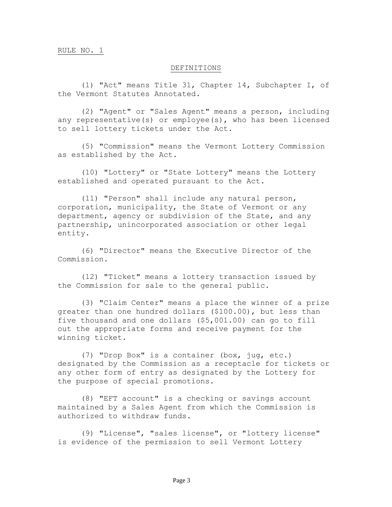#### DEFINITIONS

(1) "Act" means Title 31, Chapter 14, Subchapter I, of the Vermont Statutes Annotated.

(2) "Agent" or "Sales Agent" means a person, including any representative(s) or employee(s), who has been licensed to sell lottery tickets under the Act.

(5) "Commission" means the Vermont Lottery Commission as established by the Act.

(10) "Lottery" or "State Lottery" means the Lottery established and operated pursuant to the Act.

(11) "Person" shall include any natural person, corporation, municipality, the State of Vermont or any department, agency or subdivision of the State, and any partnership, unincorporated association or other legal entity.

(6) "Director" means the Executive Director of the Commission.

(12) "Ticket" means a lottery transaction issued by the Commission for sale to the general public.

(3) "Claim Center" means a place the winner of a prize greater than one hundred dollars (\$100.00), but less than five thousand and one dollars (\$5,001.00) can go to fill out the appropriate forms and receive payment for the winning ticket.

(7) "Drop Box" is a container (box, jug, etc.) designated by the Commission as a receptacle for tickets or any other form of entry as designated by the Lottery for the purpose of special promotions.

(8) "EFT account" is a checking or savings account maintained by a Sales Agent from which the Commission is authorized to withdraw funds.

(9) "License", "sales license", or "lottery license" is evidence of the permission to sell Vermont Lottery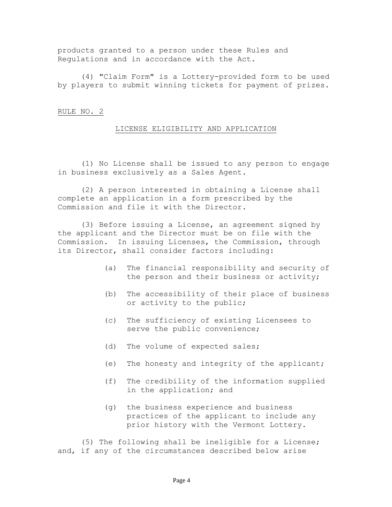products granted to a person under these Rules and Regulations and in accordance with the Act.

(4) "Claim Form" is a Lottery-provided form to be used by players to submit winning tickets for payment of prizes.

## RULE NO. 2

### LICENSE ELIGIBILITY AND APPLICATION

(1) No License shall be issued to any person to engage in business exclusively as a Sales Agent.

(2) A person interested in obtaining a License shall complete an application in a form prescribed by the Commission and file it with the Director.

(3) Before issuing a License, an agreement signed by the applicant and the Director must be on file with the Commission. In issuing Licenses, the Commission, through its Director, shall consider factors including:

- (a) The financial responsibility and security of the person and their business or activity;
- (b) The accessibility of their place of business or activity to the public;
- (c) The sufficiency of existing Licensees to serve the public convenience;
- (d) The volume of expected sales;
- (e) The honesty and integrity of the applicant;
- (f) The credibility of the information supplied in the application; and
- (g) the business experience and business practices of the applicant to include any prior history with the Vermont Lottery.

(5) The following shall be ineligible for a License; and, if any of the circumstances described below arise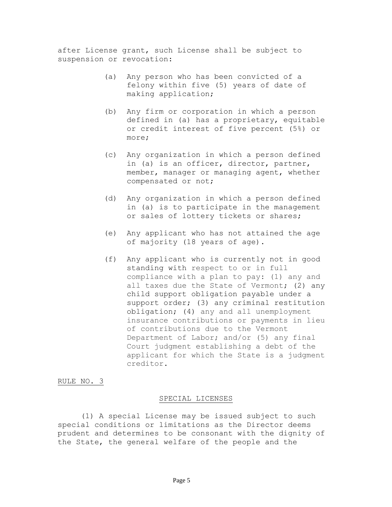after License grant, such License shall be subject to suspension or revocation:

- (a) Any person who has been convicted of a felony within five (5) years of date of making application;
- (b) Any firm or corporation in which a person defined in (a) has a proprietary, equitable or credit interest of five percent (5%) or more;
- (c) Any organization in which a person defined in (a) is an officer, director, partner, member, manager or managing agent, whether compensated or not;
- (d) Any organization in which a person defined in (a) is to participate in the management or sales of lottery tickets or shares;
- (e) Any applicant who has not attained the age of majority (18 years of age).
- (f) Any applicant who is currently not in good standing with respect to or in full compliance with a plan to pay: (1) any and all taxes due the State of Vermont; (2) any child support obligation payable under a support order; (3) any criminal restitution obligation; (4) any and all unemployment insurance contributions or payments in lieu of contributions due to the Vermont Department of Labor; and/or (5) any final Court judgment establishing a debt of the applicant for which the State is a judgment creditor.

### RULE NO. 3

#### SPECIAL LICENSES

(1) A special License may be issued subject to such special conditions or limitations as the Director deems prudent and determines to be consonant with the dignity of the State, the general welfare of the people and the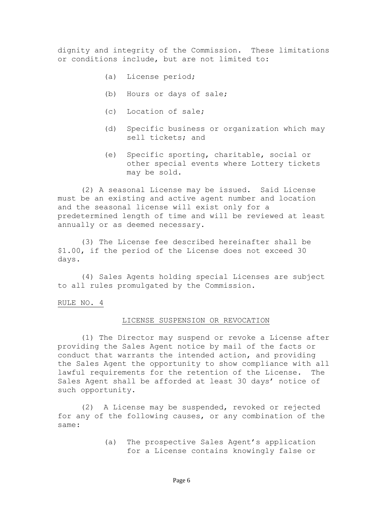dignity and integrity of the Commission. These limitations or conditions include, but are not limited to:

- (a) License period;
- (b) Hours or days of sale;
- (c) Location of sale;
- (d) Specific business or organization which may sell tickets; and
- (e) Specific sporting, charitable, social or other special events where Lottery tickets may be sold.

(2) A seasonal License may be issued. Said License must be an existing and active agent number and location and the seasonal license will exist only for a predetermined length of time and will be reviewed at least annually or as deemed necessary.

(3) The License fee described hereinafter shall be \$1.00, if the period of the License does not exceed 30 days.

(4) Sales Agents holding special Licenses are subject to all rules promulgated by the Commission.

RULE NO. 4

#### LICENSE SUSPENSION OR REVOCATION

(1) The Director may suspend or revoke a License after providing the Sales Agent notice by mail of the facts or conduct that warrants the intended action, and providing the Sales Agent the opportunity to show compliance with all lawful requirements for the retention of the License. The Sales Agent shall be afforded at least 30 days' notice of such opportunity.

(2) A License may be suspended, revoked or rejected for any of the following causes, or any combination of the same:

> (a) The prospective Sales Agent's application for a License contains knowingly false or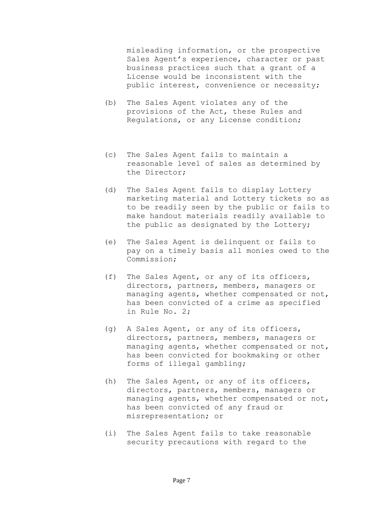misleading information, or the prospective Sales Agent's experience, character or past business practices such that a grant of a License would be inconsistent with the public interest, convenience or necessity;

- (b) The Sales Agent violates any of the provisions of the Act, these Rules and Regulations, or any License condition;
- (c) The Sales Agent fails to maintain a reasonable level of sales as determined by the Director;
- (d) The Sales Agent fails to display Lottery marketing material and Lottery tickets so as to be readily seen by the public or fails to make handout materials readily available to the public as designated by the Lottery;
- (e) The Sales Agent is delinquent or fails to pay on a timely basis all monies owed to the Commission;
- (f) The Sales Agent, or any of its officers, directors, partners, members, managers or managing agents, whether compensated or not, has been convicted of a crime as specified in Rule No. 2;
- (g) A Sales Agent, or any of its officers, directors, partners, members, managers or managing agents, whether compensated or not, has been convicted for bookmaking or other forms of illegal gambling;
- (h) The Sales Agent, or any of its officers, directors, partners, members, managers or managing agents, whether compensated or not, has been convicted of any fraud or misrepresentation; or
- (i) The Sales Agent fails to take reasonable security precautions with regard to the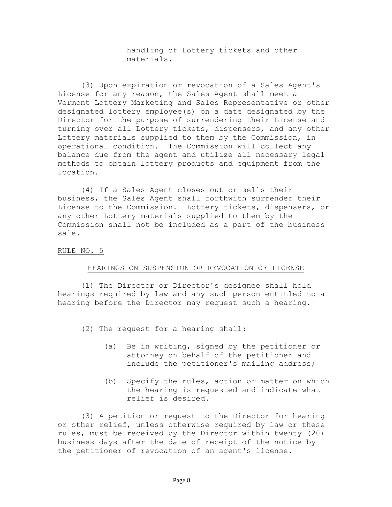handling of Lottery tickets and other materials.

(3) Upon expiration or revocation of a Sales Agent's License for any reason, the Sales Agent shall meet a Vermont Lottery Marketing and Sales Representative or other designated lottery employee(s) on a date designated by the Director for the purpose of surrendering their License and turning over all Lottery tickets, dispensers, and any other Lottery materials supplied to them by the Commission, in operational condition. The Commission will collect any balance due from the agent and utilize all necessary legal methods to obtain lottery products and equipment from the location.

(4) If a Sales Agent closes out or sells their business, the Sales Agent shall forthwith surrender their License to the Commission. Lottery tickets, dispensers, or any other Lottery materials supplied to them by the Commission shall not be included as a part of the business sale.

# RULE NO. 5

#### HEARINGS ON SUSPENSION OR REVOCATION OF LICENSE

(1) The Director or Director's designee shall hold hearings required by law and any such person entitled to a hearing before the Director may request such a hearing.

(2) The request for a hearing shall:

- (a) Be in writing, signed by the petitioner or attorney on behalf of the petitioner and include the petitioner's mailing address;
- (b) Specify the rules, action or matter on which the hearing is requested and indicate what relief is desired.

(3) A petition or request to the Director for hearing or other relief, unless otherwise required by law or these rules, must be received by the Director within twenty (20) business days after the date of receipt of the notice by the petitioner of revocation of an agent's license.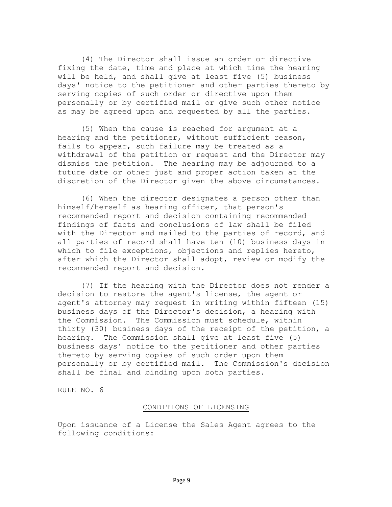(4) The Director shall issue an order or directive fixing the date, time and place at which time the hearing will be held, and shall give at least five (5) business days' notice to the petitioner and other parties thereto by serving copies of such order or directive upon them personally or by certified mail or give such other notice as may be agreed upon and requested by all the parties.

(5) When the cause is reached for argument at a hearing and the petitioner, without sufficient reason, fails to appear, such failure may be treated as a withdrawal of the petition or request and the Director may dismiss the petition. The hearing may be adjourned to a future date or other just and proper action taken at the discretion of the Director given the above circumstances.

(6) When the director designates a person other than himself/herself as hearing officer, that person's recommended report and decision containing recommended findings of facts and conclusions of law shall be filed with the Director and mailed to the parties of record, and all parties of record shall have ten (10) business days in which to file exceptions, objections and replies hereto, after which the Director shall adopt, review or modify the recommended report and decision.

(7) If the hearing with the Director does not render a decision to restore the agent's license, the agent or agent's attorney may request in writing within fifteen (15) business days of the Director's decision, a hearing with the Commission. The Commission must schedule, within thirty (30) business days of the receipt of the petition, a hearing. The Commission shall give at least five (5) business days' notice to the petitioner and other parties thereto by serving copies of such order upon them personally or by certified mail. The Commission's decision shall be final and binding upon both parties.

RULE NO. 6

#### CONDITIONS OF LICENSING

Upon issuance of a License the Sales Agent agrees to the following conditions: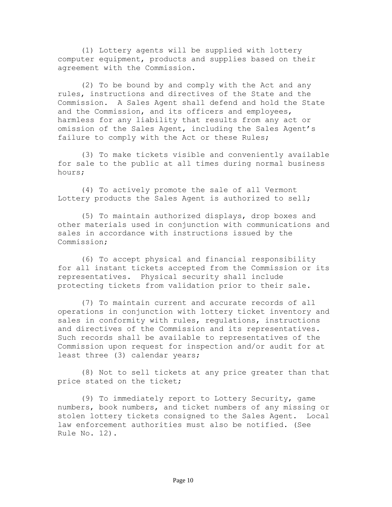(1) Lottery agents will be supplied with lottery computer equipment, products and supplies based on their agreement with the Commission.

(2) To be bound by and comply with the Act and any rules, instructions and directives of the State and the Commission. A Sales Agent shall defend and hold the State and the Commission, and its officers and employees, harmless for any liability that results from any act or omission of the Sales Agent, including the Sales Agent's failure to comply with the Act or these Rules;

(3) To make tickets visible and conveniently available for sale to the public at all times during normal business hours;

(4) To actively promote the sale of all Vermont Lottery products the Sales Agent is authorized to sell;

(5) To maintain authorized displays, drop boxes and other materials used in conjunction with communications and sales in accordance with instructions issued by the Commission;

(6) To accept physical and financial responsibility for all instant tickets accepted from the Commission or its representatives. Physical security shall include protecting tickets from validation prior to their sale.

(7) To maintain current and accurate records of all operations in conjunction with lottery ticket inventory and sales in conformity with rules, regulations, instructions and directives of the Commission and its representatives. Such records shall be available to representatives of the Commission upon request for inspection and/or audit for at least three (3) calendar years;

(8) Not to sell tickets at any price greater than that price stated on the ticket;

(9) To immediately report to Lottery Security, game numbers, book numbers, and ticket numbers of any missing or stolen lottery tickets consigned to the Sales Agent. Local law enforcement authorities must also be notified. (See Rule No. 12).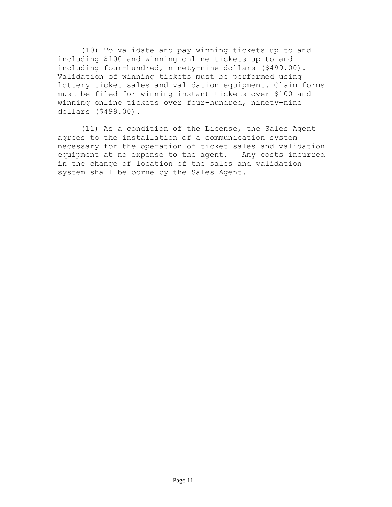(10) To validate and pay winning tickets up to and including \$100 and winning online tickets up to and including four-hundred, ninety-nine dollars (\$499.00). Validation of winning tickets must be performed using lottery ticket sales and validation equipment. Claim forms must be filed for winning instant tickets over \$100 and winning online tickets over four-hundred, ninety-nine dollars (\$499.00).

(11) As a condition of the License, the Sales Agent agrees to the installation of a communication system necessary for the operation of ticket sales and validation equipment at no expense to the agent. Any costs incurred in the change of location of the sales and validation system shall be borne by the Sales Agent.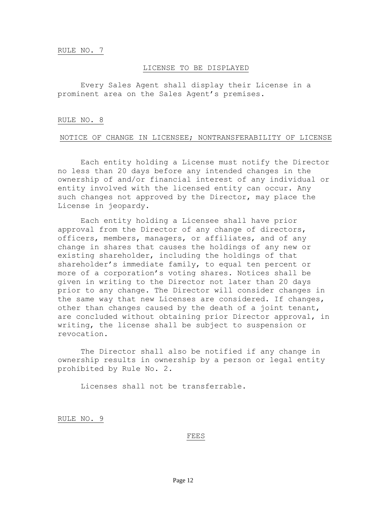#### LICENSE TO BE DISPLAYED

Every Sales Agent shall display their License in a prominent area on the Sales Agent's premises.

#### RULE NO. 8

### NOTICE OF CHANGE IN LICENSEE; NONTRANSFERABILITY OF LICENSE

Each entity holding a License must notify the Director no less than 20 days before any intended changes in the ownership of and/or financial interest of any individual or entity involved with the licensed entity can occur. Any such changes not approved by the Director, may place the License in jeopardy.

Each entity holding a Licensee shall have prior approval from the Director of any change of directors, officers, members, managers, or affiliates, and of any change in shares that causes the holdings of any new or existing shareholder, including the holdings of that shareholder's immediate family, to equal ten percent or more of a corporation's voting shares. Notices shall be given in writing to the Director not later than 20 days prior to any change. The Director will consider changes in the same way that new Licenses are considered. If changes, other than changes caused by the death of a joint tenant, are concluded without obtaining prior Director approval, in writing, the license shall be subject to suspension or revocation.

The Director shall also be notified if any change in ownership results in ownership by a person or legal entity prohibited by Rule No. 2.

Licenses shall not be transferrable.

RULE NO. 9

#### FEES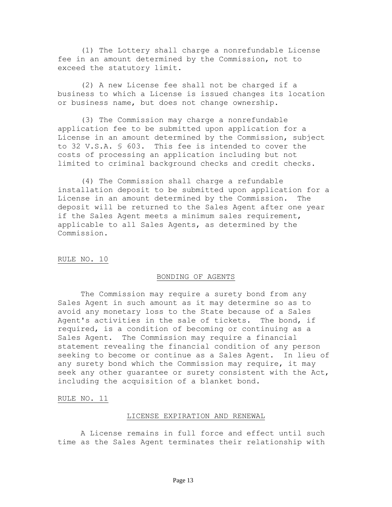(1) The Lottery shall charge a nonrefundable License fee in an amount determined by the Commission, not to exceed the statutory limit.

(2) A new License fee shall not be charged if a business to which a License is issued changes its location or business name, but does not change ownership.

(3) The Commission may charge a nonrefundable application fee to be submitted upon application for a License in an amount determined by the Commission, subject to 32 V.S.A. § 603. This fee is intended to cover the costs of processing an application including but not limited to criminal background checks and credit checks.

(4) The Commission shall charge a refundable installation deposit to be submitted upon application for a License in an amount determined by the Commission. The deposit will be returned to the Sales Agent after one year if the Sales Agent meets a minimum sales requirement, applicable to all Sales Agents, as determined by the Commission.

#### RULE NO. 10

#### BONDING OF AGENTS

The Commission may require a surety bond from any Sales Agent in such amount as it may determine so as to avoid any monetary loss to the State because of a Sales Agent's activities in the sale of tickets. The bond, if required, is a condition of becoming or continuing as a Sales Agent. The Commission may require a financial statement revealing the financial condition of any person seeking to become or continue as a Sales Agent. In lieu of any surety bond which the Commission may require, it may seek any other guarantee or surety consistent with the Act, including the acquisition of a blanket bond.

RULE NO. 11

#### LICENSE EXPIRATION AND RENEWAL

A License remains in full force and effect until such time as the Sales Agent terminates their relationship with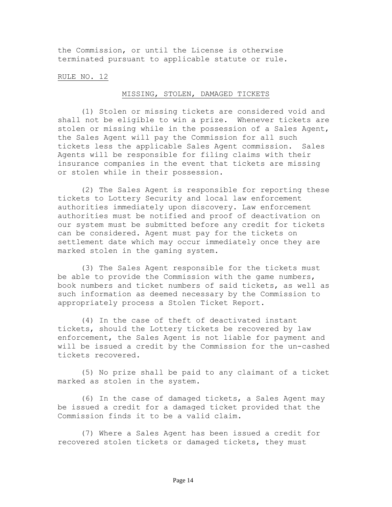the Commission, or until the License is otherwise terminated pursuant to applicable statute or rule.

#### RULE NO. 12

#### MISSING, STOLEN, DAMAGED TICKETS

(1) Stolen or missing tickets are considered void and shall not be eligible to win a prize. Whenever tickets are stolen or missing while in the possession of a Sales Agent, the Sales Agent will pay the Commission for all such tickets less the applicable Sales Agent commission. Sales Agents will be responsible for filing claims with their insurance companies in the event that tickets are missing or stolen while in their possession.

(2) The Sales Agent is responsible for reporting these tickets to Lottery Security and local law enforcement authorities immediately upon discovery. Law enforcement authorities must be notified and proof of deactivation on our system must be submitted before any credit for tickets can be considered. Agent must pay for the tickets on settlement date which may occur immediately once they are marked stolen in the gaming system.

(3) The Sales Agent responsible for the tickets must be able to provide the Commission with the game numbers, book numbers and ticket numbers of said tickets, as well as such information as deemed necessary by the Commission to appropriately process a Stolen Ticket Report.

(4) In the case of theft of deactivated instant tickets, should the Lottery tickets be recovered by law enforcement, the Sales Agent is not liable for payment and will be issued a credit by the Commission for the un-cashed tickets recovered.

(5) No prize shall be paid to any claimant of a ticket marked as stolen in the system.

(6) In the case of damaged tickets, a Sales Agent may be issued a credit for a damaged ticket provided that the Commission finds it to be a valid claim.

(7) Where a Sales Agent has been issued a credit for recovered stolen tickets or damaged tickets, they must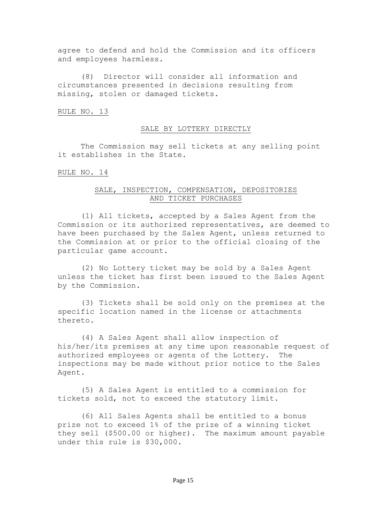agree to defend and hold the Commission and its officers and employees harmless.

(8) Director will consider all information and circumstances presented in decisions resulting from missing, stolen or damaged tickets.

#### RULE NO. 13

#### SALE BY LOTTERY DIRECTLY

The Commission may sell tickets at any selling point it establishes in the State.

RULE NO. 14

# SALE, INSPECTION, COMPENSATION, DEPOSITORIES AND TICKET PURCHASES

(1) All tickets, accepted by a Sales Agent from the Commission or its authorized representatives, are deemed to have been purchased by the Sales Agent, unless returned to the Commission at or prior to the official closing of the particular game account.

(2) No Lottery ticket may be sold by a Sales Agent unless the ticket has first been issued to the Sales Agent by the Commission.

(3) Tickets shall be sold only on the premises at the specific location named in the license or attachments thereto.

(4) A Sales Agent shall allow inspection of his/her/its premises at any time upon reasonable request of authorized employees or agents of the Lottery. The inspections may be made without prior notice to the Sales Agent.

(5) A Sales Agent is entitled to a commission for tickets sold, not to exceed the statutory limit.

(6) All Sales Agents shall be entitled to a bonus prize not to exceed 1% of the prize of a winning ticket they sell (\$500.00 or higher). The maximum amount payable under this rule is \$30,000.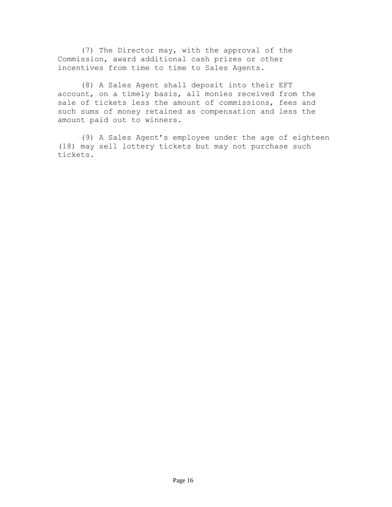(7) The Director may, with the approval of the Commission, award additional cash prizes or other incentives from time to time to Sales Agents.

(8) A Sales Agent shall deposit into their EFT account, on a timely basis, all monies received from the sale of tickets less the amount of commissions, fees and such sums of money retained as compensation and less the amount paid out to winners.

(9) A Sales Agent's employee under the age of eighteen (18) may sell lottery tickets but may not purchase such tickets.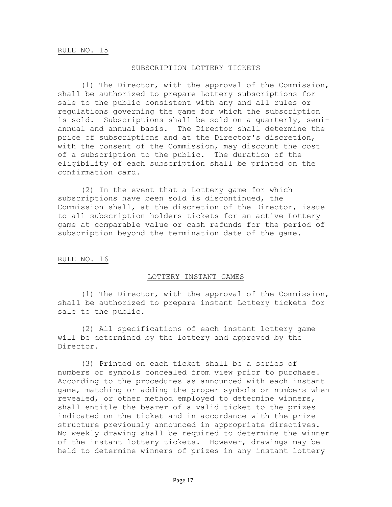#### SUBSCRIPTION LOTTERY TICKETS

(1) The Director, with the approval of the Commission, shall be authorized to prepare Lottery subscriptions for sale to the public consistent with any and all rules or regulations governing the game for which the subscription is sold. Subscriptions shall be sold on a quarterly, semiannual and annual basis. The Director shall determine the price of subscriptions and at the Director's discretion, with the consent of the Commission, may discount the cost of a subscription to the public. The duration of the eligibility of each subscription shall be printed on the confirmation card.

(2) In the event that a Lottery game for which subscriptions have been sold is discontinued, the Commission shall, at the discretion of the Director, issue to all subscription holders tickets for an active Lottery game at comparable value or cash refunds for the period of subscription beyond the termination date of the game.

### RULE NO. 16

#### LOTTERY INSTANT GAMES

(1) The Director, with the approval of the Commission, shall be authorized to prepare instant Lottery tickets for sale to the public.

(2) All specifications of each instant lottery game will be determined by the lottery and approved by the Director.

(3) Printed on each ticket shall be a series of numbers or symbols concealed from view prior to purchase. According to the procedures as announced with each instant game, matching or adding the proper symbols or numbers when revealed, or other method employed to determine winners, shall entitle the bearer of a valid ticket to the prizes indicated on the ticket and in accordance with the prize structure previously announced in appropriate directives. No weekly drawing shall be required to determine the winner of the instant lottery tickets. However, drawings may be held to determine winners of prizes in any instant lottery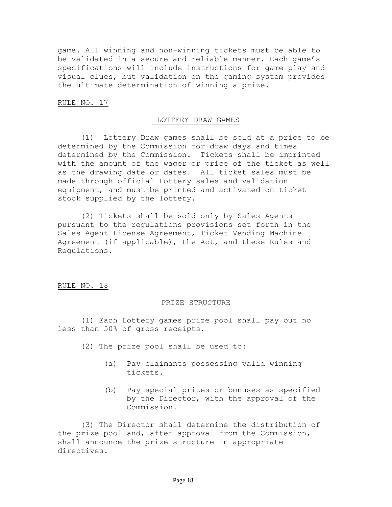game. All winning and non-winning tickets must be able to be validated in a secure and reliable manner. Each game's specifications will include instructions for game play and visual clues, but validation on the gaming system provides the ultimate determination of winning a prize.

### RULE NO. 17

#### LOTTERY DRAW GAMES

(1) Lottery Draw games shall be sold at a price to be determined by the Commission for draw days and times determined by the Commission. Tickets shall be imprinted with the amount of the wager or price of the ticket as well as the drawing date or dates. All ticket sales must be made through official Lottery sales and validation equipment, and must be printed and activated on ticket stock supplied by the lottery.

(2) Tickets shall be sold only by Sales Agents pursuant to the regulations provisions set forth in the Sales Agent License Agreement, Ticket Vending Machine Agreement (if applicable), the Act, and these Rules and Regulations.

### RULE NO. 18

#### PRIZE STRUCTURE

(1) Each Lottery games prize pool shall pay out no less than 50% of gross receipts.

- (2) The prize pool shall be used to:
	- (a) Pay claimants possessing valid winning tickets.
	- (b) Pay special prizes or bonuses as specified by the Director, with the approval of the Commission.

(3) The Director shall determine the distribution of the prize pool and, after approval from the Commission, shall announce the prize structure in appropriate directives.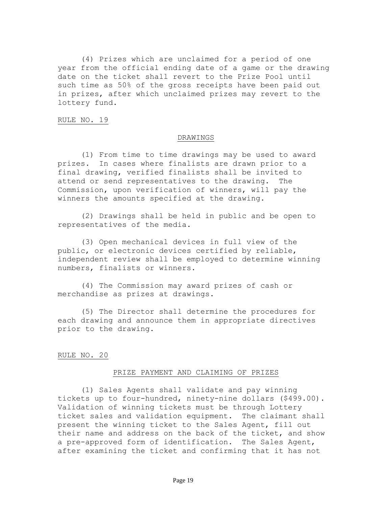(4) Prizes which are unclaimed for a period of one year from the official ending date of a game or the drawing date on the ticket shall revert to the Prize Pool until such time as 50% of the gross receipts have been paid out in prizes, after which unclaimed prizes may revert to the lottery fund.

RULE NO. 19

#### DRAWINGS

(1) From time to time drawings may be used to award prizes. In cases where finalists are drawn prior to a final drawing, verified finalists shall be invited to attend or send representatives to the drawing. The Commission, upon verification of winners, will pay the winners the amounts specified at the drawing.

(2) Drawings shall be held in public and be open to representatives of the media.

(3) Open mechanical devices in full view of the public, or electronic devices certified by reliable, independent review shall be employed to determine winning numbers, finalists or winners.

(4) The Commission may award prizes of cash or merchandise as prizes at drawings.

(5) The Director shall determine the procedures for each drawing and announce them in appropriate directives prior to the drawing.

#### RULE NO. 20

#### PRIZE PAYMENT AND CLAIMING OF PRIZES

(1) Sales Agents shall validate and pay winning tickets up to four-hundred, ninety-nine dollars (\$499.00). Validation of winning tickets must be through Lottery ticket sales and validation equipment. The claimant shall present the winning ticket to the Sales Agent, fill out their name and address on the back of the ticket, and show a pre-approved form of identification. The Sales Agent, after examining the ticket and confirming that it has not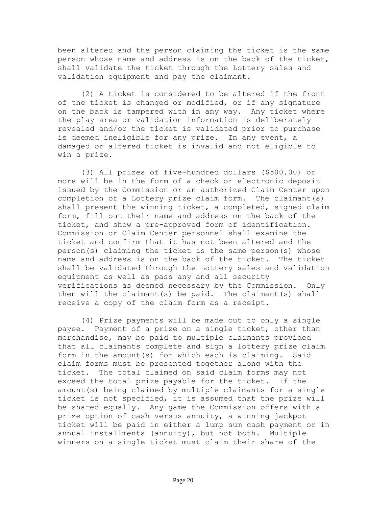been altered and the person claiming the ticket is the same person whose name and address is on the back of the ticket, shall validate the ticket through the Lottery sales and validation equipment and pay the claimant.

(2) A ticket is considered to be altered if the front of the ticket is changed or modified, or if any signature on the back is tampered with in any way. Any ticket where the play area or validation information is deliberately revealed and/or the ticket is validated prior to purchase is deemed ineligible for any prize. In any event, a damaged or altered ticket is invalid and not eligible to win a prize.

(3) All prizes of five-hundred dollars (\$500.00) or more will be in the form of a check or electronic deposit issued by the Commission or an authorized Claim Center upon completion of a Lottery prize claim form. The claimant(s) shall present the winning ticket, a completed, signed claim form, fill out their name and address on the back of the ticket, and show a pre-approved form of identification. Commission or Claim Center personnel shall examine the ticket and confirm that it has not been altered and the person(s) claiming the ticket is the same person(s) whose name and address is on the back of the ticket. The ticket shall be validated through the Lottery sales and validation equipment as well as pass any and all security verifications as deemed necessary by the Commission. Only then will the claimant(s) be paid. The claimant(s) shall receive a copy of the claim form as a receipt.

(4) Prize payments will be made out to only a single payee. Payment of a prize on a single ticket, other than merchandise, may be paid to multiple claimants provided that all claimants complete and sign a lottery prize claim form in the amount(s) for which each is claiming. Said claim forms must be presented together along with the ticket. The total claimed on said claim forms may not exceed the total prize payable for the ticket. If the amount(s) being claimed by multiple claimants for a single ticket is not specified, it is assumed that the prize will be shared equally. Any game the Commission offers with a prize option of cash versus annuity, a winning jackpot ticket will be paid in either a lump sum cash payment or in annual installments (annuity), but not both. Multiple winners on a single ticket must claim their share of the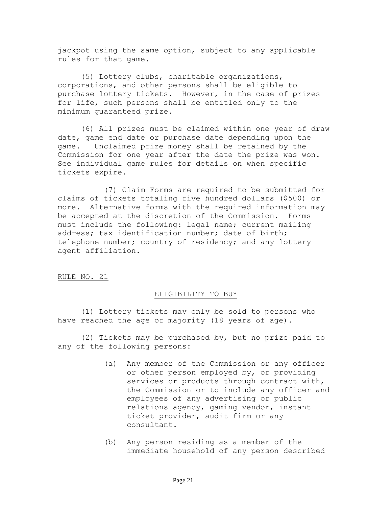jackpot using the same option, subject to any applicable rules for that game.

(5) Lottery clubs, charitable organizations, corporations, and other persons shall be eligible to purchase lottery tickets. However, in the case of prizes for life, such persons shall be entitled only to the minimum guaranteed prize.

(6) All prizes must be claimed within one year of draw date, game end date or purchase date depending upon the game. Unclaimed prize money shall be retained by the Commission for one year after the date the prize was won. See individual game rules for details on when specific tickets expire.

(7) Claim Forms are required to be submitted for claims of tickets totaling five hundred dollars (\$500) or more. Alternative forms with the required information may be accepted at the discretion of the Commission. Forms must include the following: legal name; current mailing address; tax identification number; date of birth; telephone number; country of residency; and any lottery agent affiliation.

# RULE NO. 21

#### ELIGIBILITY TO BUY

(1) Lottery tickets may only be sold to persons who have reached the age of majority (18 years of age).

(2) Tickets may be purchased by, but no prize paid to any of the following persons:

- (a) Any member of the Commission or any officer or other person employed by, or providing services or products through contract with, the Commission or to include any officer and employees of any advertising or public relations agency, gaming vendor, instant ticket provider, audit firm or any consultant.
- (b) Any person residing as a member of the immediate household of any person described